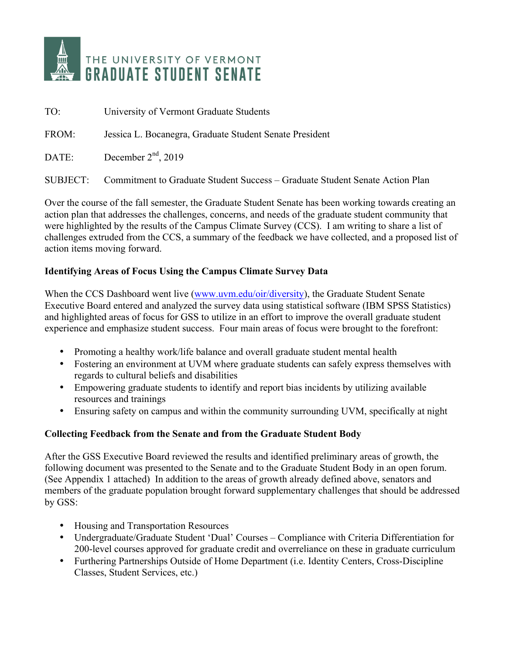

| TO:   | University of Vermont Graduate Students                                               |
|-------|---------------------------------------------------------------------------------------|
| FROM: | Jessica L. Bocanegra, Graduate Student Senate President                               |
| DATE: | December $2nd$ , 2019                                                                 |
|       | SUBJECT: Commitment to Graduate Student Success – Graduate Student Senate Action Plan |

Over the course of the fall semester, the Graduate Student Senate has been working towards creating an action plan that addresses the challenges, concerns, and needs of the graduate student community that were highlighted by the results of the Campus Climate Survey (CCS). I am writing to share a list of challenges extruded from the CCS, a summary of the feedback we have collected, and a proposed list of action items moving forward.

## **Identifying Areas of Focus Using the Campus Climate Survey Data**

When the CCS Dashboard went live (www.uvm.edu/oir/diversity), the Graduate Student Senate Executive Board entered and analyzed the survey data using statistical software (IBM SPSS Statistics) and highlighted areas of focus for GSS to utilize in an effort to improve the overall graduate student experience and emphasize student success. Four main areas of focus were brought to the forefront:

- Promoting a healthy work/life balance and overall graduate student mental health
- Fostering an environment at UVM where graduate students can safely express themselves with regards to cultural beliefs and disabilities
- Empowering graduate students to identify and report bias incidents by utilizing available resources and trainings
- Ensuring safety on campus and within the community surrounding UVM, specifically at night

#### **Collecting Feedback from the Senate and from the Graduate Student Body**

After the GSS Executive Board reviewed the results and identified preliminary areas of growth, the following document was presented to the Senate and to the Graduate Student Body in an open forum. (See Appendix 1 attached) In addition to the areas of growth already defined above, senators and members of the graduate population brought forward supplementary challenges that should be addressed by GSS:

- Housing and Transportation Resources
- Undergraduate/Graduate Student 'Dual' Courses Compliance with Criteria Differentiation for 200-level courses approved for graduate credit and overreliance on these in graduate curriculum
- Furthering Partnerships Outside of Home Department (i.e. Identity Centers, Cross-Discipline Classes, Student Services, etc.)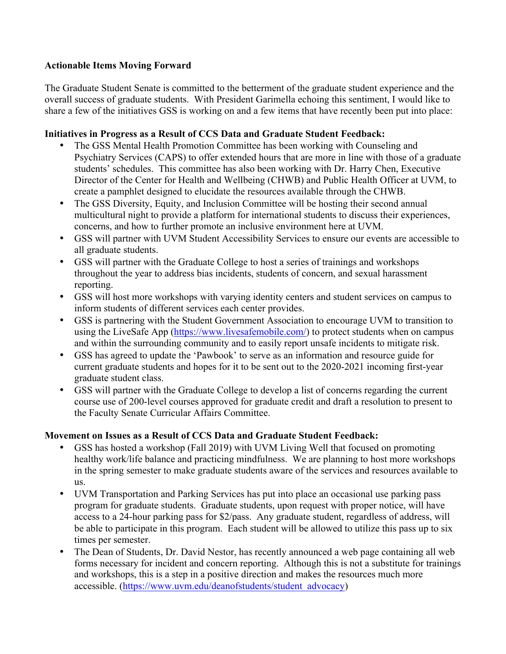## **Actionable Items Moving Forward**

The Graduate Student Senate is committed to the betterment of the graduate student experience and the overall success of graduate students. With President Garimella echoing this sentiment, I would like to share a few of the initiatives GSS is working on and a few items that have recently been put into place:

## **Initiatives in Progress as a Result of CCS Data and Graduate Student Feedback:**

- The GSS Mental Health Promotion Committee has been working with Counseling and Psychiatry Services (CAPS) to offer extended hours that are more in line with those of a graduate students' schedules. This committee has also been working with Dr. Harry Chen, Executive Director of the Center for Health and Wellbeing (CHWB) and Public Health Officer at UVM, to create a pamphlet designed to elucidate the resources available through the CHWB.
- The GSS Diversity, Equity, and Inclusion Committee will be hosting their second annual multicultural night to provide a platform for international students to discuss their experiences, concerns, and how to further promote an inclusive environment here at UVM.
- GSS will partner with UVM Student Accessibility Services to ensure our events are accessible to all graduate students.
- GSS will partner with the Graduate College to host a series of trainings and workshops throughout the year to address bias incidents, students of concern, and sexual harassment reporting.
- GSS will host more workshops with varying identity centers and student services on campus to inform students of different services each center provides.
- GSS is partnering with the Student Government Association to encourage UVM to transition to using the LiveSafe App (https://www.livesafemobile.com/) to protect students when on campus and within the surrounding community and to easily report unsafe incidents to mitigate risk.
- GSS has agreed to update the 'Pawbook' to serve as an information and resource guide for current graduate students and hopes for it to be sent out to the 2020-2021 incoming first-year graduate student class.
- GSS will partner with the Graduate College to develop a list of concerns regarding the current course use of 200-level courses approved for graduate credit and draft a resolution to present to the Faculty Senate Curricular Affairs Committee.

#### **Movement on Issues as a Result of CCS Data and Graduate Student Feedback:**

- GSS has hosted a workshop (Fall 2019) with UVM Living Well that focused on promoting healthy work/life balance and practicing mindfulness. We are planning to host more workshops in the spring semester to make graduate students aware of the services and resources available to us.
- UVM Transportation and Parking Services has put into place an occasional use parking pass program for graduate students. Graduate students, upon request with proper notice, will have access to a 24-hour parking pass for \$2/pass. Any graduate student, regardless of address, will be able to participate in this program. Each student will be allowed to utilize this pass up to six times per semester.
- The Dean of Students, Dr. David Nestor, has recently announced a web page containing all web forms necessary for incident and concern reporting. Although this is not a substitute for trainings and workshops, this is a step in a positive direction and makes the resources much more accessible. (https://www.uvm.edu/deanofstudents/student\_advocacy)